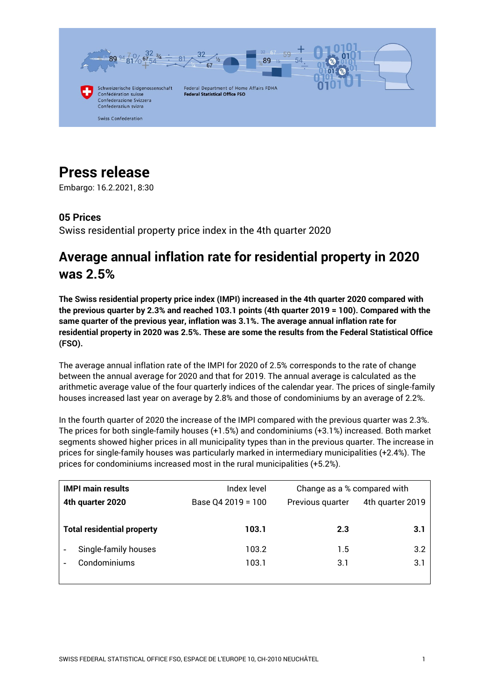

# **Press release**

Embargo: 16.2.2021, 8:30

## **05 Prices**

Swiss residential property price index in the 4th quarter 2020

## **Average annual inflation rate for residential property in 2020 was 2.5%**

**The Swiss residential property price index (IMPI) increased in the 4th quarter 2020 compared with the previous quarter by 2.3% and reached 103.1 points (4th quarter 2019 = 100). Compared with the same quarter of the previous year, inflation was 3.1%. The average annual inflation rate for residential property in 2020 was 2.5%. These are some the results from the Federal Statistical Office (FSO).**

The average annual inflation rate of the IMPI for 2020 of 2.5% corresponds to the rate of change between the annual average for 2020 and that for 2019. The annual average is calculated as the arithmetic average value of the four quarterly indices of the calendar year. The prices of single-family houses increased last year on average by 2.8% and those of condominiums by an average of 2.2%.

In the fourth quarter of 2020 the increase of the IMPI compared with the previous quarter was 2.3%. The prices for both single-family houses (+1.5%) and condominiums (+3.1%) increased. Both market segments showed higher prices in all municipality types than in the previous quarter. The increase in prices for single-family houses was particularly marked in intermediary municipalities (+2.4%). The prices for condominiums increased most in the rural municipalities (+5.2%).

| <b>IMPI main results</b>          | Index level        | Change as a % compared with |                  |
|-----------------------------------|--------------------|-----------------------------|------------------|
| 4th quarter 2020                  | Base Q4 2019 = 100 | Previous quarter            | 4th quarter 2019 |
|                                   |                    |                             |                  |
| <b>Total residential property</b> | 103.1              | 2.3                         | 3.1              |
| Single-family houses              | 103.2              | 1.5                         | 3.2              |
| Condominiums                      | 103.1              | 3.1                         | 3.1              |
|                                   |                    |                             |                  |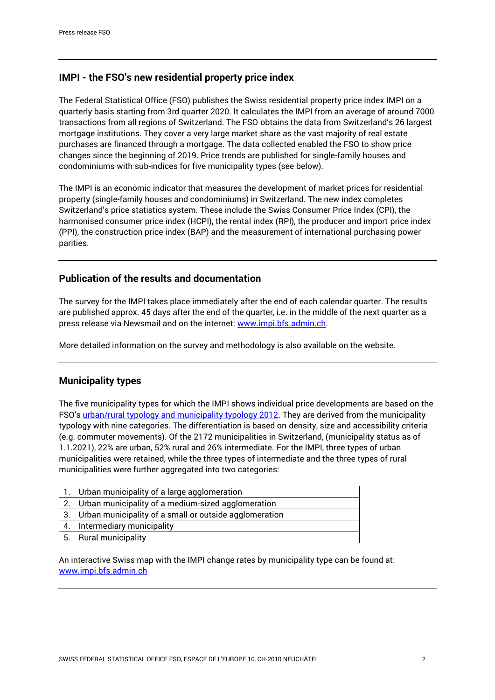## **IMPI - the FSO's new residential property price index**

The Federal Statistical Office (FSO) publishes the Swiss residential property price index IMPI on a quarterly basis starting from 3rd quarter 2020. It calculates the IMPI from an average of around 7000 transactions from all regions of Switzerland. The FSO obtains the data from Switzerland's 26 largest mortgage institutions. They cover a very large market share as the vast majority of real estate purchases are financed through a mortgage. The data collected enabled the FSO to show price changes since the beginning of 2019. Price trends are published for single-family houses and condominiums with sub-indices for five municipality types (see below).

The IMPI is an economic indicator that measures the development of market prices for residential property (single-family houses and condominiums) in Switzerland. The new index completes Switzerland's price statistics system. These include the Swiss Consumer Price Index (CPI), the harmonised consumer price index (HCPI), the rental index (RPI), the producer and import price index (PPI), the construction price index (BAP) and the measurement of international purchasing power parities.

## **Publication of the results and documentation**

The survey for the IMPI takes place immediately after the end of each calendar quarter. The results are published approx. 45 days after the end of the quarter, i.e. in the middle of the next quarter as a press release via Newsmail and on the internet: [www.impi.bfs.admin.ch.](https://www.bfs.admin.ch/bfs/en/home/statistics/prices/property-price.html)

More detailed information on the survey and methodology is also available on the website.

## **Municipality types**

The five municipality types for which the IMPI shows individual price developments are based on the FSO's [urban/rural typology and municipality typology 2012.](https://www.bfs.admin.ch/bfs/de/home/statistiken/raum-umwelt/nomenklaturen/gemtyp.html) They are derived from the municipality typology with nine categories. The differentiation is based on density, size and accessibility criteria (e.g. commuter movements). Of the 2172 municipalities in Switzerland, (municipality status as of 1.1.2021), 22% are urban, 52% rural and 26% intermediate. For the IMPI, three types of urban municipalities were retained, while the three types of intermediate and the three types of rural municipalities were further aggregated into two categories:

|    | 1. Urban municipality of a large agglomeration            |
|----|-----------------------------------------------------------|
|    | 2. Urban municipality of a medium-sized agglomeration     |
|    | 3. Urban municipality of a small or outside agglomeration |
| 4. | Intermediary municipality                                 |
|    | 5. Rural municipality                                     |

An interactive Swiss map with the IMPI change rates by municipality type can be found at: [www.impi.bfs.admin.ch](https://www.bfs.admin.ch/bfs/en/home/statistics/prices/property-price.html)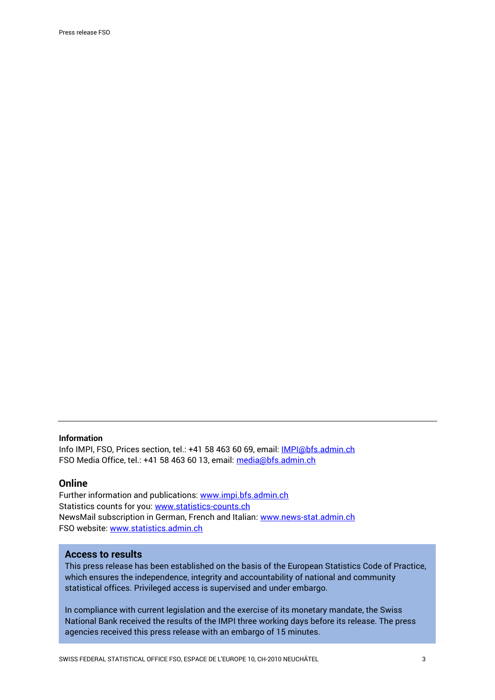#### **Information**

Info IMPI, FSO, Prices section, tel.: +41 58 463 60 69, email: [IMPI@bfs.admin.ch](mailto:IMPI@bfs.admin.ch) FSO Media Office, tel.: +41 58 463 60 13, email: [media@bfs.admin.ch](mailto:media@bfs.admin.ch)

#### **Online**

Further information and publications: [www.impi.bfs.admin.ch](https://www.bfs.admin.ch/bfs/en/home/statistics/prices/property-price.html) Statistics counts for you: [www.statistics-counts.ch](https://statistics-counts.ch/) NewsMail subscription in German, French and Italian: [www.news-stat.admin.ch](https://www.bfs.admin.ch/bfs/de/home/dienstleistungen/kontakt/newsmail-abonnement.html) FSO website: [www.statistics.admin.ch](https://www.bfs.admin.ch/bfs/en/home.html)

## **Access to results**

This press release has been established on the basis of the European Statistics Code of Practice, which ensures the independence, integrity and accountability of national and community statistical offices. Privileged access is supervised and under embargo.

In compliance with current legislation and the exercise of its monetary mandate, the Swiss National Bank received the results of the IMPI three working days before its release. The press agencies received this press release with an embargo of 15 minutes.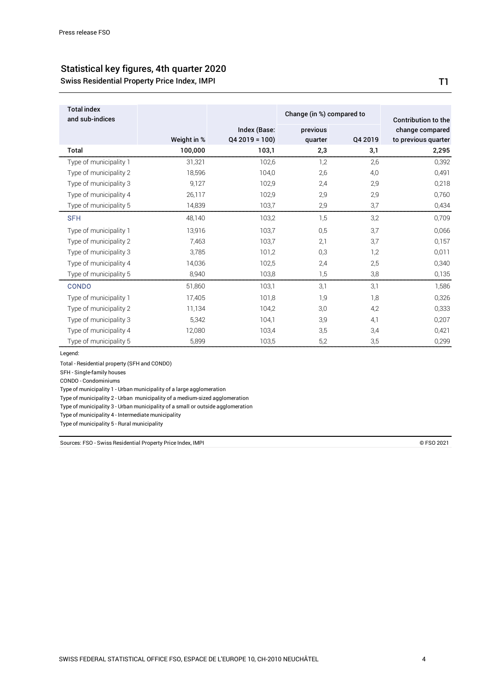## Statistical key figures, 4th quarter 2020 Swiss Residential Property Price Index, IMPI

previous Index (Base: Q4 2019 = 100) Total index and sub-indices Weight in % Change (in %) compared to

|                        |             | Index (Base:   | previous |         | change compared     |
|------------------------|-------------|----------------|----------|---------|---------------------|
|                        | Weight in % | $Q42019 = 100$ | quarter  | Q4 2019 | to previous quarter |
| Total                  | 100,000     | 103,1          | 2,3      | 3,1     | 2,295               |
| Type of municipality 1 | 31,321      | 102,6          | 1,2      | 2,6     | 0,392               |
| Type of municipality 2 | 18,596      | 104,0          | 2,6      | 4,0     | 0,491               |
| Type of municipality 3 | 9,127       | 102,9          | 2,4      | 2,9     | 0,218               |
| Type of municipality 4 | 26,117      | 102,9          | 2,9      | 2,9     | 0,760               |
| Type of municipality 5 | 14,839      | 103,7          | 2,9      | 3,7     | 0,434               |
| <b>SFH</b>             | 48,140      | 103,2          | 1,5      | 3,2     | 0,709               |
| Type of municipality 1 | 13,916      | 103,7          | 0,5      | 3,7     | 0,066               |
| Type of municipality 2 | 7,463       | 103,7          | 2,1      | 3,7     | 0,157               |
| Type of municipality 3 | 3,785       | 101,2          | 0,3      | 1,2     | 0,011               |
| Type of municipality 4 | 14,036      | 102,5          | 2,4      | 2,5     | 0,340               |
| Type of municipality 5 | 8,940       | 103,8          | 1,5      | 3,8     | 0,135               |
| <b>CONDO</b>           | 51,860      | 103,1          | 3,1      | 3,1     | 1,586               |
| Type of municipality 1 | 17,405      | 101,8          | 1,9      | 1,8     | 0,326               |
| Type of municipality 2 | 11,134      | 104,2          | 3,0      | 4,2     | 0,333               |
| Type of municipality 3 | 5,342       | 104,1          | 3,9      | 4,1     | 0,207               |
| Type of municipality 4 | 12,080      | 103,4          | 3,5      | 3,4     | 0,421               |
| Type of municipality 5 | 5,899       | 103,5          | 5,2      | 3,5     | 0,299               |

Legend:

Total - Residential property (SFH and CONDO)

SFH - Single-family houses

CONDO - Condominiums

Type of municipality 1 - Urban municipality of a large agglomeration

Type of municipality 2 - Urban municipality of a medium-sized agglomeration

Type of municipality 3 - Urban municipality of a small or outside agglomeration

Type of municipality 4 - Intermediate municipality

Type of municipality 5 - Rural municipality

Sources: FSO - Swiss Residential Property Price Index, IMPI

© FSO 2021

T1

Contribution to the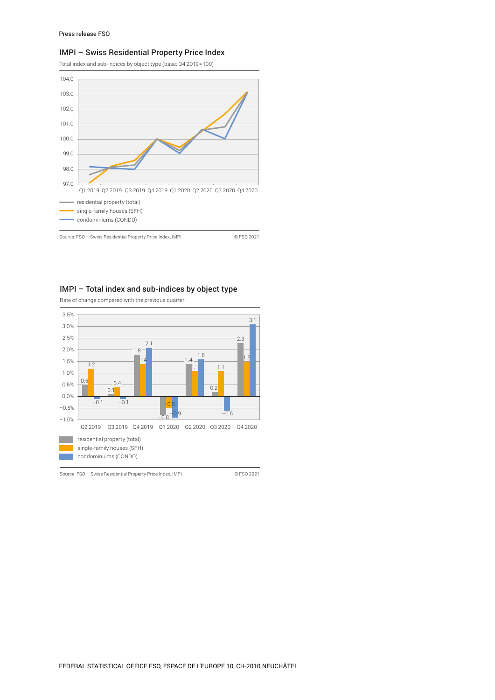#### IMPI – Swiss Residential Property Price Index

Total index and sub-indices by object type (base: Q4 2019=100)



### IMPI – Total index and sub-indices by object type

Rate of change compared with the previous quarter



Source: FSO – Swiss Residential Property Price Index, IMPI © FSO 2021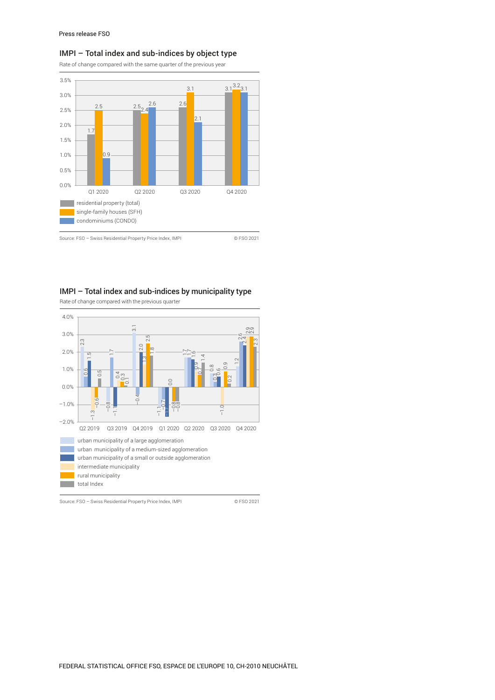#### IMPI – Total index and sub-indices by object type

Rate of change compared with the same quarter of the previous year



Source: FSO – Swiss Residential Property Price Index, IMPI © FSO 2021

#### IMPI – Total index and sub-indices by municipality type

Rate of change compared with the previous quarter



Source: FSO – Swiss Residential Property Price Index, IMPI © FSO 2021